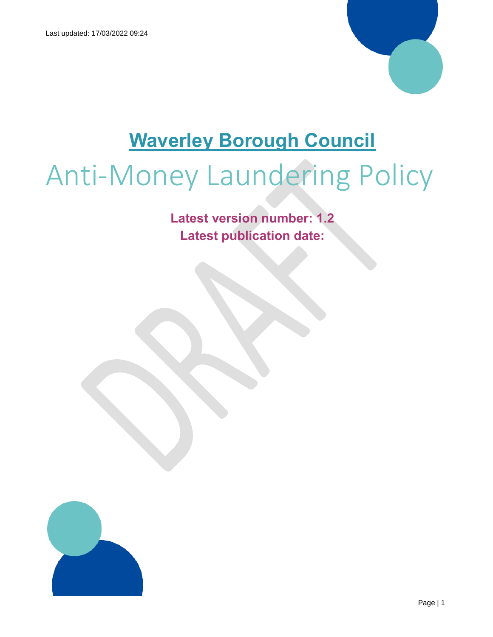

## **Waverley Borough Council**

# Anti-Money Laundering Policy

**Latest version number: 1.2 Latest publication date:** 

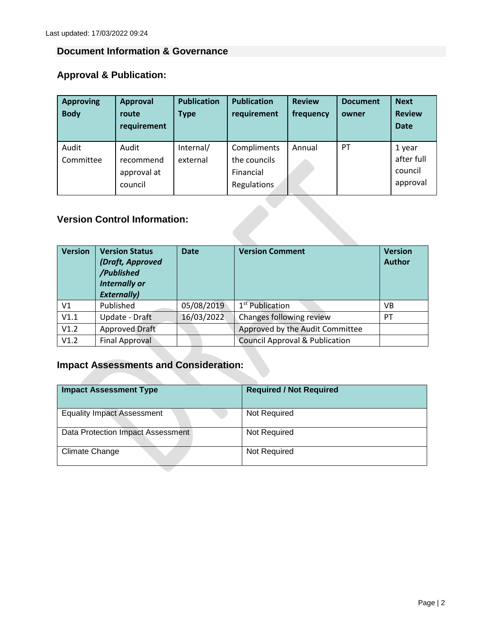#### **Document Information & Governance**

## **Approval & Publication:**

| <b>Approving</b> | <b>Approval</b> | <b>Publication</b> | <b>Publication</b> | <b>Review</b> | <b>Document</b> | <b>Next</b>   |
|------------------|-----------------|--------------------|--------------------|---------------|-----------------|---------------|
| <b>Body</b>      | route           | <b>Type</b>        | requirement        | frequency     | owner           | <b>Review</b> |
|                  | requirement     |                    |                    |               |                 | <b>Date</b>   |
| Audit            | Audit           | Internal/          | Compliments        | Annual        | <b>PT</b>       | 1 year        |
| Committee        | recommend       | external           | the councils       |               |                 | after full    |
|                  | approval at     |                    | Financial          |               |                 | council       |
|                  | council         |                    | Regulations        |               |                 | approval      |
|                  |                 |                    |                    |               |                 |               |

#### **Version Control Information:**

| <b>Version</b> | <b>Version Status</b><br>(Draft, Approved<br>/Published<br><b>Internally or</b><br><b>Externally)</b> | <b>Date</b> | <b>Version Comment</b>                    | <b>Version</b><br><b>Author</b> |
|----------------|-------------------------------------------------------------------------------------------------------|-------------|-------------------------------------------|---------------------------------|
| V <sub>1</sub> | Published                                                                                             | 05/08/2019  | 1 <sup>st</sup> Publication               | VB                              |
| V1.1           | Update - Draft                                                                                        | 16/03/2022  | Changes following review                  | PT                              |
| V1.2           | Approved Draft                                                                                        |             | Approved by the Audit Committee           |                                 |
| V1.2           | <b>Final Approval</b>                                                                                 |             | <b>Council Approval &amp; Publication</b> |                                 |

### **Impact Assessments and Consideration:**

| <b>Impact Assessment Type</b>     | <b>Required / Not Required</b> |
|-----------------------------------|--------------------------------|
| <b>Equality Impact Assessment</b> | Not Required                   |
| Data Protection Impact Assessment | Not Required                   |
| Climate Change                    | Not Required                   |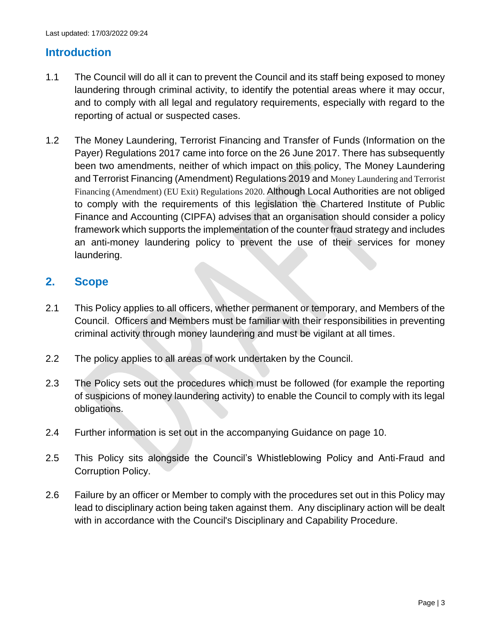#### **Introduction**

- 1.1 The Council will do all it can to prevent the Council and its staff being exposed to money laundering through criminal activity, to identify the potential areas where it may occur, and to comply with all legal and regulatory requirements, especially with regard to the reporting of actual or suspected cases.
- 1.2 The Money Laundering, Terrorist Financing and Transfer of Funds (Information on the Payer) Regulations 2017 came into force on the 26 June 2017. There has subsequently been two amendments, neither of which impact on this policy, The Money Laundering and Terrorist Financing (Amendment) Regulations 2019 and Money Laundering and Terrorist Financing (Amendment) (EU Exit) Regulations 2020. Although Local Authorities are not obliged to comply with the requirements of this legislation the Chartered Institute of Public Finance and Accounting (CIPFA) advises that an organisation should consider a policy framework which supports the implementation of the counter fraud strategy and includes an anti-money laundering policy to prevent the use of their services for money laundering.

#### **2. Scope**

- 2.1 This Policy applies to all officers, whether permanent or temporary, and Members of the Council. Officers and Members must be familiar with their responsibilities in preventing criminal activity through money laundering and must be vigilant at all times.
- 2.2 The policy applies to all areas of work undertaken by the Council.
- 2.3 The Policy sets out the procedures which must be followed (for example the reporting of suspicions of money laundering activity) to enable the Council to comply with its legal obligations.
- 2.4 Further information is set out in the accompanying Guidance on page 10.
- 2.5 This Policy sits alongside the Council's Whistleblowing Policy and Anti-Fraud and Corruption Policy.
- 2.6 Failure by an officer or Member to comply with the procedures set out in this Policy may lead to disciplinary action being taken against them. Any disciplinary action will be dealt with in accordance with the Council's Disciplinary and Capability Procedure.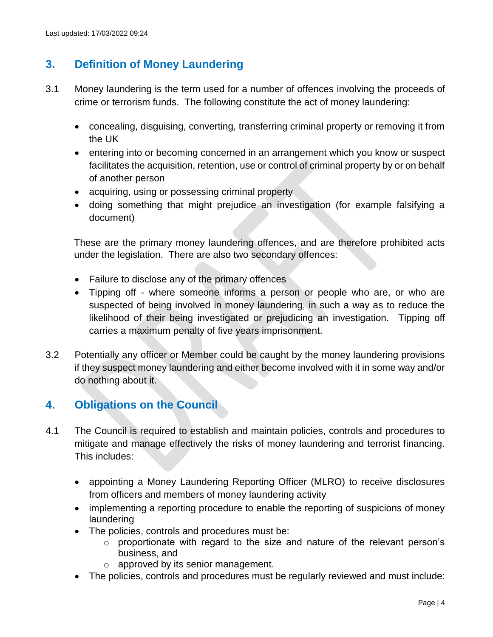#### **3. Definition of Money Laundering**

- 3.1 Money laundering is the term used for a number of offences involving the proceeds of crime or terrorism funds. The following constitute the act of money laundering:
	- concealing, disguising, converting, transferring criminal property or removing it from the UK
	- entering into or becoming concerned in an arrangement which you know or suspect facilitates the acquisition, retention, use or control of criminal property by or on behalf of another person
	- acquiring, using or possessing criminal property
	- doing something that might prejudice an investigation (for example falsifying a document)

These are the primary money laundering offences, and are therefore prohibited acts under the legislation. There are also two secondary offences:

- Failure to disclose any of the primary offences
- Tipping off where someone informs a person or people who are, or who are suspected of being involved in money laundering, in such a way as to reduce the likelihood of their being investigated or prejudicing an investigation. Tipping off carries a maximum penalty of five years imprisonment.
- 3.2 Potentially any officer or Member could be caught by the money laundering provisions if they suspect money laundering and either become involved with it in some way and/or do nothing about it.

#### **4. Obligations on the Council**

- 4.1 The Council is required to establish and maintain policies, controls and procedures to mitigate and manage effectively the risks of money laundering and terrorist financing. This includes:
	- appointing a Money Laundering Reporting Officer (MLRO) to receive disclosures from officers and members of money laundering activity
	- implementing a reporting procedure to enable the reporting of suspicions of money laundering
	- The policies, controls and procedures must be:
		- o proportionate with regard to the size and nature of the relevant person's business, and
		- o approved by its senior management.
	- The policies, controls and procedures must be regularly reviewed and must include: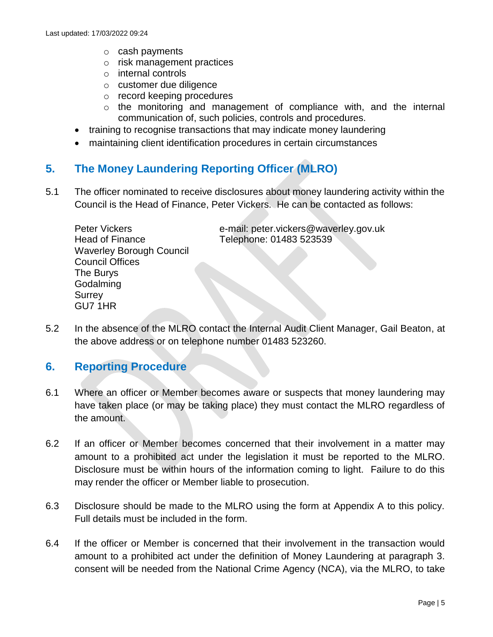- o cash payments
- o risk management practices
- o internal controls
- o customer due diligence
- o record keeping procedures
- o the monitoring and management of compliance with, and the internal communication of, such policies, controls and procedures.
- training to recognise transactions that may indicate money laundering
- maintaining client identification procedures in certain circumstances

#### **5. The Money Laundering Reporting Officer (MLRO)**

5.1 The officer nominated to receive disclosures about money laundering activity within the Council is the Head of Finance, Peter Vickers. He can be contacted as follows:

| <b>Peter Vickers</b>            | e-mail: peter.vickers@waverley.gov.uk |
|---------------------------------|---------------------------------------|
| <b>Head of Finance</b>          | Telephone: 01483 523539               |
| <b>Waverley Borough Council</b> |                                       |
| <b>Council Offices</b>          |                                       |
| The Burys                       |                                       |
| Godalming                       |                                       |
| Surrey                          |                                       |
| GU7 1HR                         |                                       |

5.2 In the absence of the MLRO contact the Internal Audit Client Manager, Gail Beaton, at the above address or on telephone number 01483 523260.

#### **6. Reporting Procedure**

- 6.1 Where an officer or Member becomes aware or suspects that money laundering may have taken place (or may be taking place) they must contact the MLRO regardless of the amount.
- 6.2 If an officer or Member becomes concerned that their involvement in a matter may amount to a prohibited act under the legislation it must be reported to the MLRO. Disclosure must be within hours of the information coming to light. Failure to do this may render the officer or Member liable to prosecution.
- 6.3 Disclosure should be made to the MLRO using the form at Appendix A to this policy. Full details must be included in the form.
- 6.4 If the officer or Member is concerned that their involvement in the transaction would amount to a prohibited act under the definition of Money Laundering at paragraph 3. consent will be needed from the National Crime Agency (NCA), via the MLRO, to take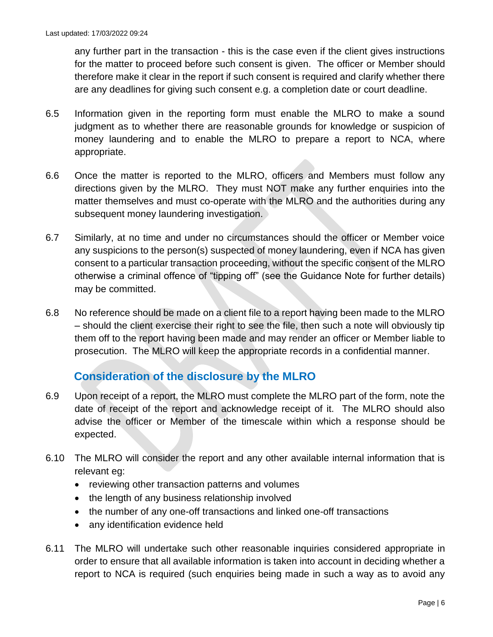any further part in the transaction - this is the case even if the client gives instructions for the matter to proceed before such consent is given. The officer or Member should therefore make it clear in the report if such consent is required and clarify whether there are any deadlines for giving such consent e.g. a completion date or court deadline.

- 6.5 Information given in the reporting form must enable the MLRO to make a sound judgment as to whether there are reasonable grounds for knowledge or suspicion of money laundering and to enable the MLRO to prepare a report to NCA, where appropriate.
- 6.6 Once the matter is reported to the MLRO, officers and Members must follow any directions given by the MLRO. They must NOT make any further enquiries into the matter themselves and must co-operate with the MLRO and the authorities during any subsequent money laundering investigation.
- 6.7 Similarly, at no time and under no circumstances should the officer or Member voice any suspicions to the person(s) suspected of money laundering, even if NCA has given consent to a particular transaction proceeding, without the specific consent of the MLRO otherwise a criminal offence of "tipping off" (see the Guidance Note for further details) may be committed.
- 6.8 No reference should be made on a client file to a report having been made to the MLRO – should the client exercise their right to see the file, then such a note will obviously tip them off to the report having been made and may render an officer or Member liable to prosecution. The MLRO will keep the appropriate records in a confidential manner.

#### **Consideration of the disclosure by the MLRO**

- 6.9 Upon receipt of a report, the MLRO must complete the MLRO part of the form, note the date of receipt of the report and acknowledge receipt of it. The MLRO should also advise the officer or Member of the timescale within which a response should be expected.
- 6.10 The MLRO will consider the report and any other available internal information that is relevant eg:
	- reviewing other transaction patterns and volumes
	- the length of any business relationship involved
	- the number of any one-off transactions and linked one-off transactions
	- any identification evidence held
- 6.11 The MLRO will undertake such other reasonable inquiries considered appropriate in order to ensure that all available information is taken into account in deciding whether a report to NCA is required (such enquiries being made in such a way as to avoid any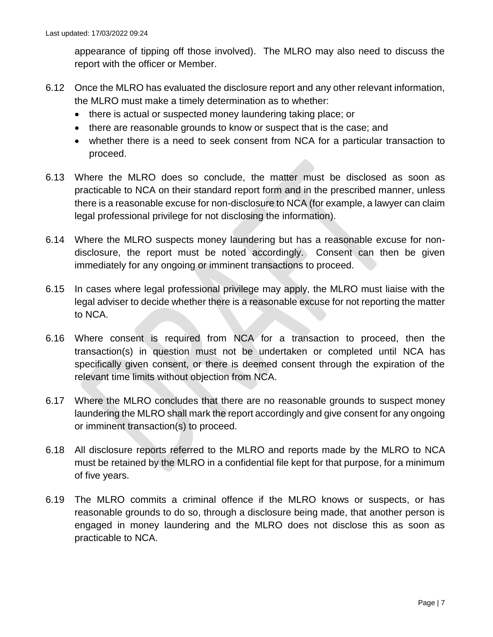appearance of tipping off those involved). The MLRO may also need to discuss the report with the officer or Member.

- 6.12 Once the MLRO has evaluated the disclosure report and any other relevant information, the MLRO must make a timely determination as to whether:
	- there is actual or suspected money laundering taking place; or
	- there are reasonable grounds to know or suspect that is the case; and
	- whether there is a need to seek consent from NCA for a particular transaction to proceed.
- 6.13 Where the MLRO does so conclude, the matter must be disclosed as soon as practicable to NCA on their standard report form and in the prescribed manner, unless there is a reasonable excuse for non-disclosure to NCA (for example, a lawyer can claim legal professional privilege for not disclosing the information).
- 6.14 Where the MLRO suspects money laundering but has a reasonable excuse for nondisclosure, the report must be noted accordingly. Consent can then be given immediately for any ongoing or imminent transactions to proceed.
- 6.15 In cases where legal professional privilege may apply, the MLRO must liaise with the legal adviser to decide whether there is a reasonable excuse for not reporting the matter to NCA.
- 6.16 Where consent is required from NCA for a transaction to proceed, then the transaction(s) in question must not be undertaken or completed until NCA has specifically given consent, or there is deemed consent through the expiration of the relevant time limits without objection from NCA.
- 6.17 Where the MLRO concludes that there are no reasonable grounds to suspect money laundering the MLRO shall mark the report accordingly and give consent for any ongoing or imminent transaction(s) to proceed.
- 6.18 All disclosure reports referred to the MLRO and reports made by the MLRO to NCA must be retained by the MLRO in a confidential file kept for that purpose, for a minimum of five years.
- 6.19 The MLRO commits a criminal offence if the MLRO knows or suspects, or has reasonable grounds to do so, through a disclosure being made, that another person is engaged in money laundering and the MLRO does not disclose this as soon as practicable to NCA.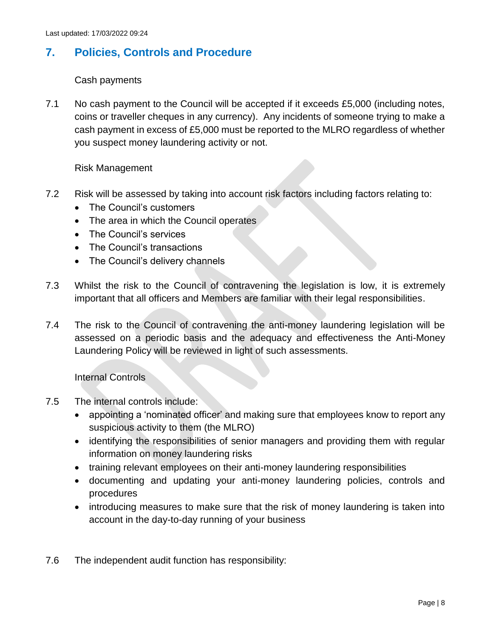#### **7. Policies, Controls and Procedure**

#### Cash payments

7.1 No cash payment to the Council will be accepted if it exceeds £5,000 (including notes, coins or traveller cheques in any currency). Any incidents of someone trying to make a cash payment in excess of £5,000 must be reported to the MLRO regardless of whether you suspect money laundering activity or not.

#### Risk Management

- 7.2 Risk will be assessed by taking into account risk factors including factors relating to:
	- The Council's customers
	- The area in which the Council operates
	- The Council's services
	- The Council's transactions
	- The Council's delivery channels
- 7.3 Whilst the risk to the Council of contravening the legislation is low, it is extremely important that all officers and Members are familiar with their legal responsibilities.
- 7.4 The risk to the Council of contravening the anti-money laundering legislation will be assessed on a periodic basis and the adequacy and effectiveness the Anti-Money Laundering Policy will be reviewed in light of such assessments.

Internal Controls

- 7.5 The internal controls include:
	- [appointing a 'nominated officer'](https://www.gov.uk/guidance/money-laundering-regulations-nominated-officers-and-employee-training) and making sure that employees know to report any [suspicious activity](https://www.gov.uk/guidance/money-laundering-regulations-report-suspicious-activities) to them (the MLRO)
	- identifying the responsibilities of senior managers and providing them with regular information on money laundering risks
	- training relevant employees on their anti-money laundering responsibilities
	- documenting and updating your anti-money laundering policies, controls and procedures
	- introducing measures to make sure that the risk of money laundering is taken into account in the day-to-day running of your business
- 7.6 The independent audit function has responsibility: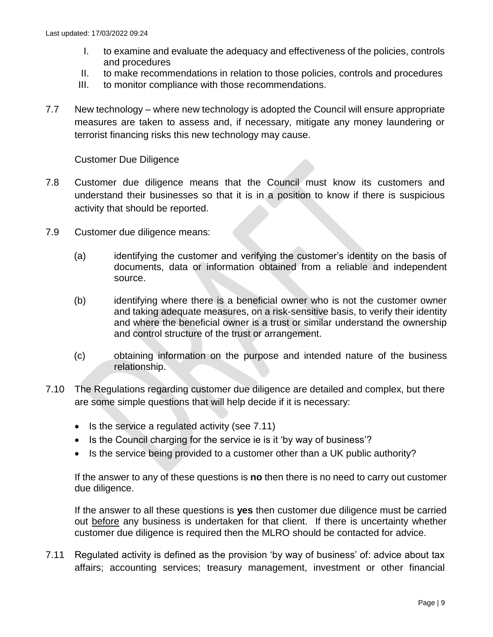- I. to examine and evaluate the adequacy and effectiveness of the policies, controls and procedures
- II. to make recommendations in relation to those policies, controls and procedures
- III. to monitor compliance with those recommendations.
- 7.7 New technology where new technology is adopted the Council will ensure appropriate measures are taken to assess and, if necessary, mitigate any money laundering or terrorist financing risks this new technology may cause.

Customer Due Diligence

- 7.8 Customer due diligence means that the Council must know its customers and understand their businesses so that it is in a position to know if there is suspicious activity that should be reported.
- 7.9 Customer due diligence means:
	- (a) identifying the customer and verifying the customer's identity on the basis of documents, data or information obtained from a reliable and independent source.
	- (b) identifying where there is a beneficial owner who is not the customer owner and taking adequate measures, on a risk-sensitive basis, to verify their identity and where the beneficial owner is a trust or similar understand the ownership and control structure of the trust or arrangement.
	- (c) obtaining information on the purpose and intended nature of the business relationship.
- 7.10 The Regulations regarding customer due diligence are detailed and complex, but there are some simple questions that will help decide if it is necessary:
	- $\bullet$  Is the service a regulated activity (see 7.11)
	- Is the Council charging for the service ie is it 'by way of business'?
	- Is the service being provided to a customer other than a UK public authority?

If the answer to any of these questions is **no** then there is no need to carry out customer due diligence.

If the answer to all these questions is **yes** then customer due diligence must be carried out before any business is undertaken for that client. If there is uncertainty whether customer due diligence is required then the MLRO should be contacted for advice.

7.11 Regulated activity is defined as the provision 'by way of business' of: advice about tax affairs; accounting services; treasury management, investment or other financial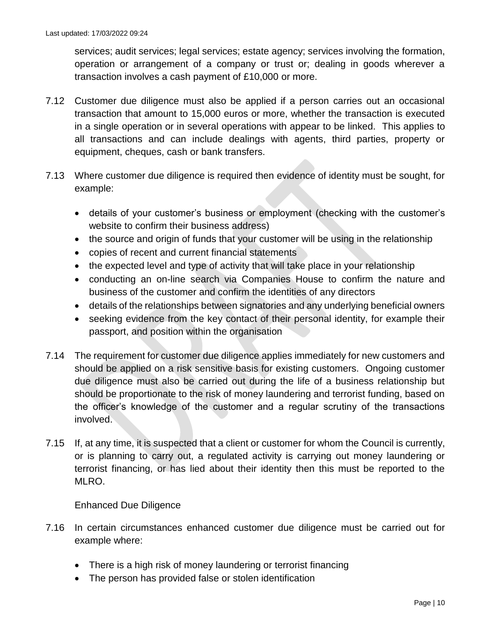services; audit services; legal services; estate agency; services involving the formation, operation or arrangement of a company or trust or; dealing in goods wherever a transaction involves a cash payment of £10,000 or more.

- 7.12 Customer due diligence must also be applied if a person carries out an occasional transaction that amount to 15,000 euros or more, whether the transaction is executed in a single operation or in several operations with appear to be linked. This applies to all transactions and can include dealings with agents, third parties, property or equipment, cheques, cash or bank transfers.
- 7.13 Where customer due diligence is required then evidence of identity must be sought, for example:
	- details of your customer's business or employment (checking with the customer's website to confirm their business address)
	- the source and origin of funds that your customer will be using in the relationship
	- copies of recent and current financial statements
	- the expected level and type of activity that will take place in your relationship
	- conducting an on-line search via Companies House to confirm the nature and business of the customer and confirm the identities of any directors
	- details of the relationships between signatories and any underlying beneficial owners
	- seeking evidence from the key contact of their personal identity, for example their passport, and position within the organisation
- 7.14 The requirement for customer due diligence applies immediately for new customers and should be applied on a risk sensitive basis for existing customers. Ongoing customer due diligence must also be carried out during the life of a business relationship but should be proportionate to the risk of money laundering and terrorist funding, based on the officer's knowledge of the customer and a regular scrutiny of the transactions involved.
- 7.15 If, at any time, it is suspected that a client or customer for whom the Council is currently, or is planning to carry out, a regulated activity is carrying out money laundering or terrorist financing, or has lied about their identity then this must be reported to the MLRO.

#### Enhanced Due Diligence

- 7.16 In certain circumstances enhanced customer due diligence must be carried out for example where:
	- There is a high risk of money laundering or terrorist financing
	- The person has provided false or stolen identification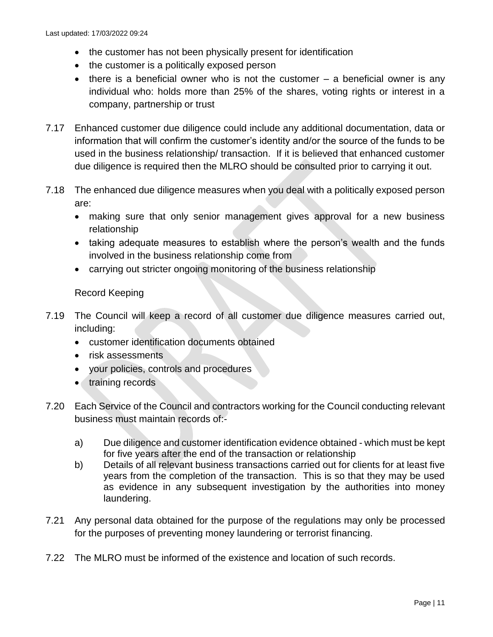- the customer has not been physically present for identification
- the customer is a politically exposed person
- $\bullet$  there is a beneficial owner who is not the customer  $-$  a beneficial owner is any individual who: holds more than 25% of the shares, voting rights or interest in a company, partnership or trust
- 7.17 Enhanced customer due diligence could include any additional documentation, data or information that will confirm the customer's identity and/or the source of the funds to be used in the business relationship/ transaction. If it is believed that enhanced customer due diligence is required then the MLRO should be consulted prior to carrying it out.
- 7.18 The enhanced due diligence measures when you deal with a politically exposed person are:
	- making sure that only senior management gives approval for a new business relationship
	- taking adequate measures to establish where the person's wealth and the funds involved in the business relationship come from
	- carrying out stricter ongoing monitoring of the business relationship

#### Record Keeping

- 7.19 The Council will keep a record of all customer due diligence measures carried out, including:
	- customer identification documents obtained
	- risk assessments
	- your policies, controls and procedures
	- training records
- 7.20 Each Service of the Council and contractors working for the Council conducting relevant business must maintain records of:
	- a) Due diligence and customer identification evidence obtained which must be kept for five years after the end of the transaction or relationship
	- b) Details of all relevant business transactions carried out for clients for at least five years from the completion of the transaction. This is so that they may be used as evidence in any subsequent investigation by the authorities into money laundering.
- 7.21 Any personal data obtained for the purpose of the regulations may only be processed for the purposes of preventing money laundering or terrorist financing.
- 7.22 The MLRO must be informed of the existence and location of such records.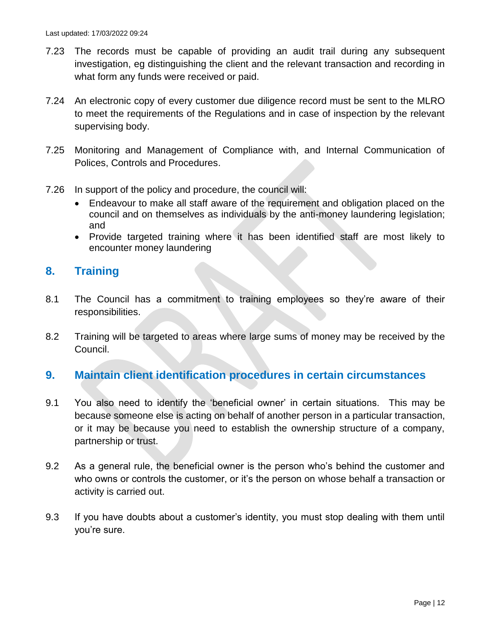- 7.23 The records must be capable of providing an audit trail during any subsequent investigation, eg distinguishing the client and the relevant transaction and recording in what form any funds were received or paid.
- 7.24 An electronic copy of every customer due diligence record must be sent to the MLRO to meet the requirements of the Regulations and in case of inspection by the relevant supervising body.
- 7.25 Monitoring and Management of Compliance with, and Internal Communication of Polices, Controls and Procedures.
- 7.26 In support of the policy and procedure, the council will:
	- Endeavour to make all staff aware of the requirement and obligation placed on the council and on themselves as individuals by the anti-money laundering legislation; and
	- Provide targeted training where it has been identified staff are most likely to encounter money laundering

#### **8. Training**

- 8.1 The Council has a commitment to training employees so they're aware of their responsibilities.
- 8.2 Training will be targeted to areas where large sums of money may be received by the Council.

#### **9. Maintain client identification procedures in certain circumstances**

- 9.1 You also need to identify the 'beneficial owner' in certain situations. This may be because someone else is acting on behalf of another person in a particular transaction, or it may be because you need to establish the ownership structure of a company, partnership or trust.
- 9.2 As a general rule, the beneficial owner is the person who's behind the customer and who owns or controls the customer, or it's the person on whose behalf a transaction or activity is carried out.
- 9.3 If you have doubts about a customer's identity, you must stop dealing with them until you're sure.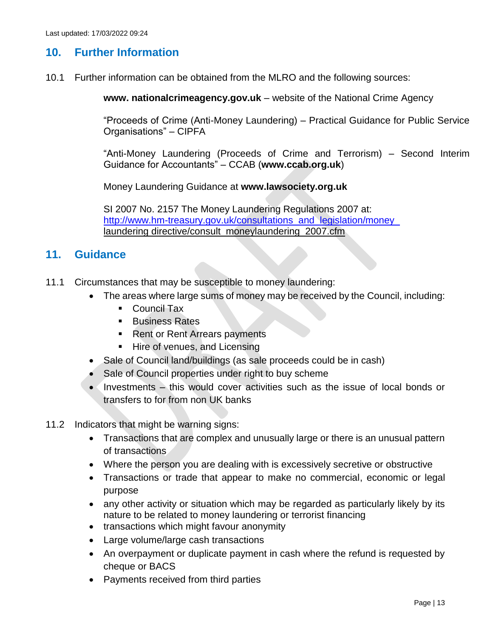#### **10. Further Information**

10.1 Further information can be obtained from the MLRO and the following sources:

**www. nationalcrimeagency.gov.uk** – website of the National Crime Agency

"Proceeds of Crime (Anti-Money Laundering) – Practical Guidance for Public Service Organisations" – CIPFA

"Anti-Money Laundering (Proceeds of Crime and Terrorism) – Second Interim Guidance for Accountants" – CCAB (**www.ccab.org.uk**)

Money Laundering Guidance at **www.lawsociety.org.uk** 

SI 2007 No. 2157 The Money Laundering Regulations 2007 at: [http://www.hm-treasury.gov.uk/consultations\\_and\\_legislation/money\\_](http://www.hm-treasury.gov.uk/consultations_and_legislation/money_) laundering directive/consult\_moneylaundering\_2007.cfm

#### **11. Guidance**

- 11.1 Circumstances that may be susceptible to money laundering:
	- The areas where large sums of money may be received by the Council, including:
		- Council Tax
		- **Business Rates**
		- **Rent or Rent Arrears payments**
		- **Hire of venues, and Licensing**
	- Sale of Council land/buildings (as sale proceeds could be in cash)
	- Sale of Council properties under right to buy scheme
	- Investments this would cover activities such as the issue of local bonds or transfers to for from non UK banks
- 11.2 Indicators that might be warning signs:
	- Transactions that are complex and unusually large or there is an unusual pattern of transactions
	- Where the person you are dealing with is excessively secretive or obstructive
	- Transactions or trade that appear to make no commercial, economic or legal purpose
	- any other activity or situation which may be regarded as particularly likely by its nature to be related to money laundering or terrorist financing
	- transactions which might favour anonymity
	- Large volume/large cash transactions
	- An overpayment or duplicate payment in cash where the refund is requested by cheque or BACS
	- Payments received from third parties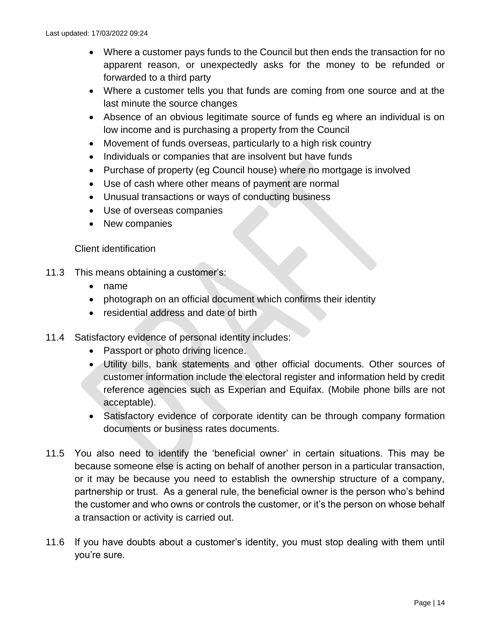- Where a customer pays funds to the Council but then ends the transaction for no apparent reason, or unexpectedly asks for the money to be refunded or forwarded to a third party
- Where a customer tells you that funds are coming from one source and at the last minute the source changes
- Absence of an obvious legitimate source of funds eg where an individual is on low income and is purchasing a property from the Council
- Movement of funds overseas, particularly to a high risk country
- Individuals or companies that are insolvent but have funds
- Purchase of property (eg Council house) where no mortgage is involved
- Use of cash where other means of payment are normal
- Unusual transactions or ways of conducting business
- Use of overseas companies
- New companies

#### Client identification

- 11.3 This means obtaining a customer's:
	- name
	- photograph on an official document which confirms their identity
	- residential address and date of birth
- 11.4 Satisfactory evidence of personal identity includes:
	- Passport or photo driving licence.
	- Utility bills, bank statements and other official documents. Other sources of customer information include the electoral register and information held by credit reference agencies such as Experian and Equifax. (Mobile phone bills are not acceptable).
	- Satisfactory evidence of corporate identity can be through company formation documents or business rates documents.
- 11.5 You also need to identify the 'beneficial owner' in certain situations. This may be because someone else is acting on behalf of another person in a particular transaction, or it may be because you need to establish the ownership structure of a company, partnership or trust. As a general rule, the beneficial owner is the person who's behind the customer and who owns or controls the customer, or it's the person on whose behalf a transaction or activity is carried out.
- 11.6 If you have doubts about a customer's identity, you must stop dealing with them until you're sure.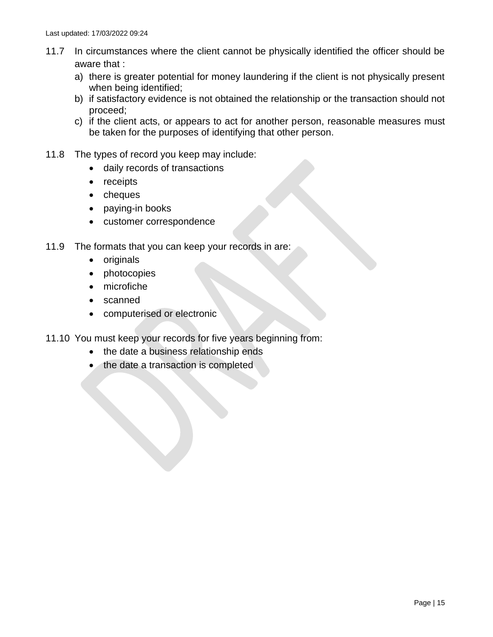- 11.7 In circumstances where the client cannot be physically identified the officer should be aware that :
	- a) there is greater potential for money laundering if the client is not physically present when being identified;
	- b) if satisfactory evidence is not obtained the relationship or the transaction should not proceed;
	- c) if the client acts, or appears to act for another person, reasonable measures must be taken for the purposes of identifying that other person.
- 11.8 The types of record you keep may include:
	- daily records of transactions
	- receipts
	- cheques
	- paying-in books
	- customer correspondence
- 11.9 The formats that you can keep your records in are:
	- originals
	- photocopies
	- microfiche
	- scanned
	- computerised or electronic
- 11.10 You must keep your records for five years beginning from:
	- the date a business relationship ends
	- the date a transaction is completed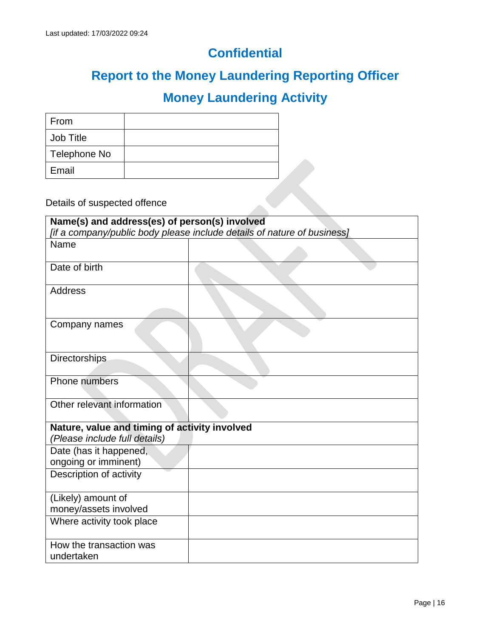## **Confidential**

## **Report to the Money Laundering Reporting Officer**

## **Money Laundering Activity**

| From         |  |
|--------------|--|
| Job Title    |  |
| Telephone No |  |
| Email        |  |

Details of suspected offence

| Name(s) and address(es) of person(s) involved                                  | [if a company/public body please include details of nature of business] |
|--------------------------------------------------------------------------------|-------------------------------------------------------------------------|
| Name                                                                           |                                                                         |
|                                                                                |                                                                         |
| Date of birth                                                                  |                                                                         |
| Address                                                                        |                                                                         |
| Company names                                                                  |                                                                         |
| <b>Directorships</b>                                                           |                                                                         |
| Phone numbers                                                                  |                                                                         |
| Other relevant information                                                     |                                                                         |
| Nature, value and timing of activity involved<br>(Please include full details) |                                                                         |
| Date (has it happened,                                                         |                                                                         |
| ongoing or imminent)                                                           |                                                                         |
| Description of activity                                                        |                                                                         |
| (Likely) amount of                                                             |                                                                         |
| money/assets involved                                                          |                                                                         |
| Where activity took place                                                      |                                                                         |
| How the transaction was<br>undertaken                                          |                                                                         |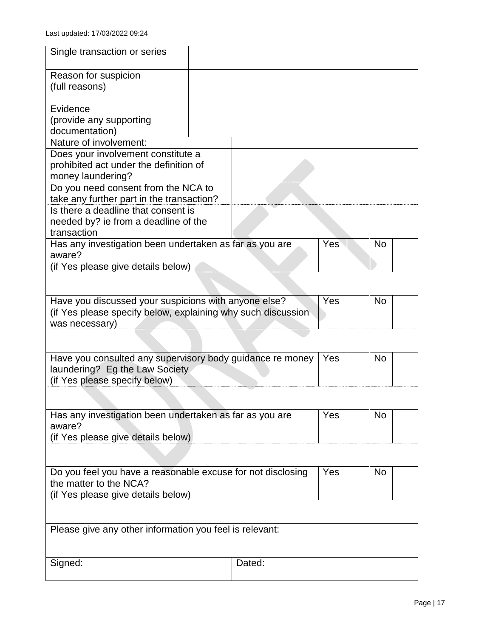| Single transaction or series                                                                                                           |        |     |           |
|----------------------------------------------------------------------------------------------------------------------------------------|--------|-----|-----------|
| Reason for suspicion<br>(full reasons)                                                                                                 |        |     |           |
| Evidence                                                                                                                               |        |     |           |
| (provide any supporting                                                                                                                |        |     |           |
| documentation)                                                                                                                         |        |     |           |
| Nature of involvement:                                                                                                                 |        |     |           |
| Does your involvement constitute a                                                                                                     |        |     |           |
| prohibited act under the definition of                                                                                                 |        |     |           |
| money laundering?<br>Do you need consent from the NCA to                                                                               |        |     |           |
| take any further part in the transaction?                                                                                              |        |     |           |
| Is there a deadline that consent is                                                                                                    |        |     |           |
| needed by? ie from a deadline of the                                                                                                   |        |     |           |
| transaction                                                                                                                            |        |     |           |
| Has any investigation been undertaken as far as you are                                                                                |        | Yes | <b>No</b> |
| aware?                                                                                                                                 |        |     |           |
| (if Yes please give details below)                                                                                                     |        |     |           |
|                                                                                                                                        |        |     |           |
| Have you discussed your suspicions with anyone else?<br>(if Yes please specify below, explaining why such discussion<br>was necessary) |        | Yes | <b>No</b> |
|                                                                                                                                        |        |     |           |
| Have you consulted any supervisory body guidance re money                                                                              |        | Yes | <b>No</b> |
| laundering? Eg the Law Society<br>(if Yes please specify below)                                                                        |        |     |           |
|                                                                                                                                        |        |     |           |
|                                                                                                                                        |        |     |           |
| Has any investigation been undertaken as far as you are                                                                                |        | Yes | <b>No</b> |
| aware?                                                                                                                                 |        |     |           |
| (if Yes please give details below)                                                                                                     |        |     |           |
|                                                                                                                                        |        |     |           |
|                                                                                                                                        |        |     |           |
| Do you feel you have a reasonable excuse for not disclosing                                                                            |        | Yes | <b>No</b> |
| the matter to the NCA?                                                                                                                 |        |     |           |
| (if Yes please give details below)                                                                                                     |        |     |           |
|                                                                                                                                        |        |     |           |
| Please give any other information you feel is relevant:                                                                                |        |     |           |
|                                                                                                                                        |        |     |           |
|                                                                                                                                        |        |     |           |
| Signed:                                                                                                                                | Dated: |     |           |
|                                                                                                                                        |        |     |           |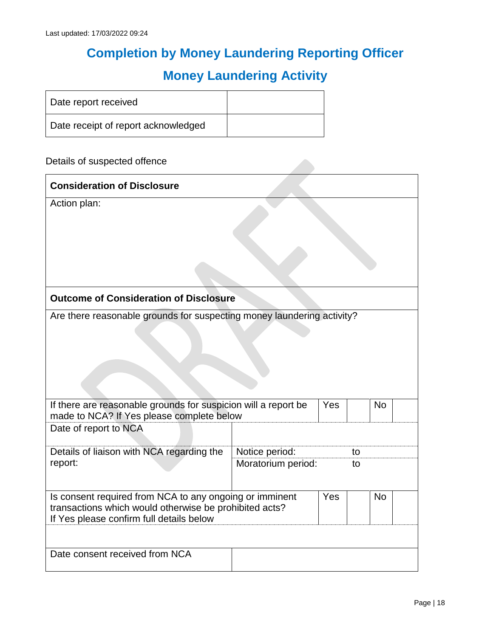## **Completion by Money Laundering Reporting Officer**

## **Money Laundering Activity**

| Date report received                |  |
|-------------------------------------|--|
| Date receipt of report acknowledged |  |

Details of suspected offence

| <b>Consideration of Disclosure</b>                                                                                                                            |                    |     |    |           |
|---------------------------------------------------------------------------------------------------------------------------------------------------------------|--------------------|-----|----|-----------|
| Action plan:                                                                                                                                                  |                    |     |    |           |
| <b>Outcome of Consideration of Disclosure</b>                                                                                                                 |                    |     |    |           |
| Are there reasonable grounds for suspecting money laundering activity?<br>If there are reasonable grounds for suspicion will a report be                      |                    | Yes |    | <b>No</b> |
| made to NCA? If Yes please complete below                                                                                                                     |                    |     |    |           |
| Date of report to NCA                                                                                                                                         |                    |     |    |           |
| Details of liaison with NCA regarding the                                                                                                                     | Notice period:     |     | to |           |
| report:                                                                                                                                                       | Moratorium period: |     | to |           |
| Is consent required from NCA to any ongoing or imminent<br>transactions which would otherwise be prohibited acts?<br>If Yes please confirm full details below |                    | Yes |    | <b>No</b> |
| Date consent received from NCA                                                                                                                                |                    |     |    |           |